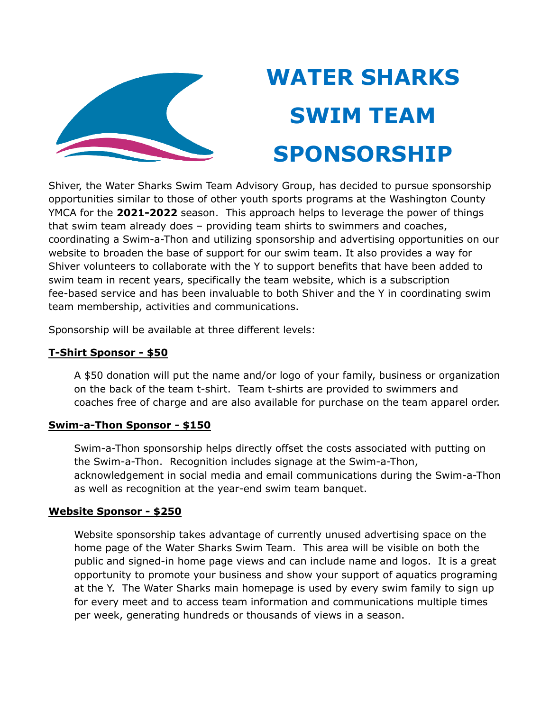

## **WATER SHARKS SWIM TEAM SPONSORSHIP**

Shiver, the Water Sharks Swim Team Advisory Group, has decided to pursue sponsorship opportunities similar to those of other youth sports programs at the Washington County YMCA for the **2021-2022** season. This approach helps to leverage the power of things that swim team already does – providing team shirts to swimmers and coaches, coordinating a Swim-a-Thon and utilizing sponsorship and advertising opportunities on our website to broaden the base of support for our swim team. It also provides a way for Shiver volunteers to collaborate with the Y to support benefits that have been added to swim team in recent years, specifically the team website, which is a subscription fee-based service and has been invaluable to both Shiver and the Y in coordinating swim team membership, activities and communications.

Sponsorship will be available at three different levels:

## **T-Shirt Sponsor - \$50**

A \$50 donation will put the name and/or logo of your family, business or organization on the back of the team t-shirt. Team t-shirts are provided to swimmers and coaches free of charge and are also available for purchase on the team apparel order.

## **Swim-a-Thon Sponsor - \$150**

Swim-a-Thon sponsorship helps directly offset the costs associated with putting on the Swim-a-Thon. Recognition includes signage at the Swim-a-Thon, acknowledgement in social media and email communications during the Swim-a-Thon as well as recognition at the year-end swim team banquet.

## **Website Sponsor - \$250**

Website sponsorship takes advantage of currently unused advertising space on the home page of the Water Sharks Swim Team. This area will be visible on both the public and signed-in home page views and can include name and logos. It is a great opportunity to promote your business and show your support of aquatics programing at the Y. The Water Sharks main homepage is used by every swim family to sign up for every meet and to access team information and communications multiple times per week, generating hundreds or thousands of views in a season.